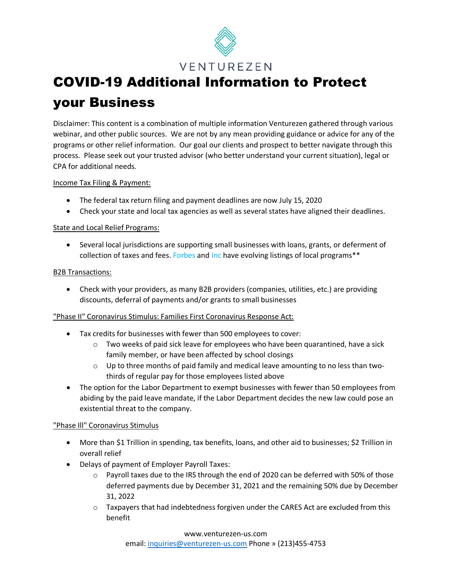

# COVID-19 Additional Information to Protect your Business

Disclaimer: This content is a combination of multiple information Venturezen gathered through various webinar, and other public sources. We are not by any mean providing guidance or advice for any of the programs or other relief information. Our goal our clients and prospect to better navigate through this process. Please seek out your trusted advisor (who better understand your current situation), legal or CPA for additional needs.

### Income Tax Filing & Payment:

- The federal tax return filing and payment deadlines are now July 15, 2020
- Check your state and local tax agencies as well as several states have aligned their deadlines.

### State and Local Relief Programs:

• Several local jurisdictions are supporting small businesses with loans, grants, or deferment of collection of taxes and fees. Forbes and Inc have evolving listings of local programs\*\*

#### B2B Transactions:

• Check with your providers, as many B2B providers (companies, utilities, etc.) are providing discounts, deferral of payments and/or grants to small businesses

#### "Phase II" Coronavirus Stimulus: Families First Coronavirus Response Act:

- Tax credits for businesses with fewer than 500 employees to cover:
	- $\circ$  Two weeks of paid sick leave for employees who have been quarantined, have a sick family member, or have been affected by school closings
	- $\circ$  Up to three months of paid family and medical leave amounting to no less than twothirds of regular pay for those employees listed above
- The option for the Labor Department to exempt businesses with fewer than 50 employees from abiding by the paid leave mandate, if the Labor Department decides the new law could pose an existential threat to the company.

### "Phase Ill" Coronavirus Stimulus

- More than \$1 Trillion in spending, tax benefits, loans, and other aid to businesses; \$2 Trillion in overall relief
- Delays of payment of Employer Payroll Taxes:
	- $\circ$  Payroll taxes due to the IRS through the end of 2020 can be deferred with 50% of those deferred payments due by December 31, 2021 and the remaining 50% due by December 31, 2022
	- $\circ$  Taxpayers that had indebtedness forgiven under the CARES Act are excluded from this benefit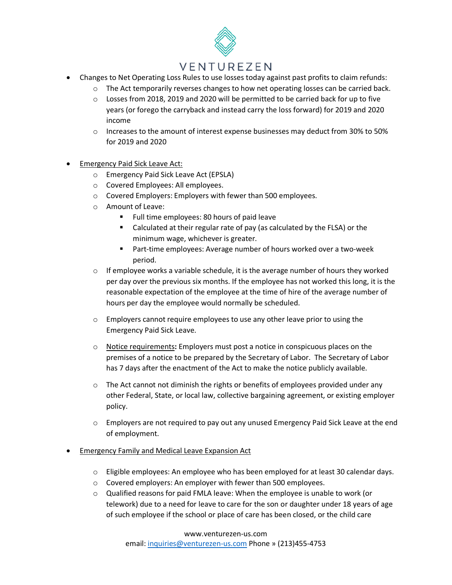## VENTUREZEN

- Changes to Net Operating Loss Rules to use losses today against past profits to claim refunds:
	- $\circ$  The Act temporarily reverses changes to how net operating losses can be carried back.
	- $\circ$  Losses from 2018, 2019 and 2020 will be permitted to be carried back for up to five years (or forego the carryback and instead carry the loss forward) for 2019 and 2020 income
	- $\circ$  Increases to the amount of interest expense businesses may deduct from 30% to 50% for 2019 and 2020
- Emergency Paid Sick Leave Act:
	- o Emergency Paid Sick Leave Act (EPSLA)
	- o Covered Employees: All employees.
	- o Covered Employers: Employers with fewer than 500 employees.
	- o Amount of Leave:
		- Full time employees: 80 hours of paid leave
		- Calculated at their regular rate of pay (as calculated by the FLSA) or the minimum wage, whichever is greater.
		- Part-time employees: Average number of hours worked over a two-week period.
	- $\circ$  If employee works a variable schedule, it is the average number of hours they worked per day over the previous six months. If the employee has not worked this long, it is the reasonable expectation of the employee at the time of hire of the average number of hours per day the employee would normally be scheduled.
	- $\circ$  Employers cannot require employees to use any other leave prior to using the Emergency Paid Sick Leave.
	- o Notice requirements**:** Employers must post a notice in conspicuous places on the premises of a notice to be prepared by the Secretary of Labor. The Secretary of Labor has 7 days after the enactment of the Act to make the notice publicly available.
	- $\circ$  The Act cannot not diminish the rights or benefits of employees provided under any other Federal, State, or local law, collective bargaining agreement, or existing employer policy.
	- $\circ$  Employers are not required to pay out any unused Emergency Paid Sick Leave at the end of employment.

#### **• Emergency Family and Medical Leave Expansion Act**

- o Eligible employees: An employee who has been employed for at least 30 calendar days.
- o Covered employers: An employer with fewer than 500 employees.
- $\circ$  Qualified reasons for paid FMLA leave: When the employee is unable to work (or telework) due to a need for leave to care for the son or daughter under 18 years of age of such employee if the school or place of care has been closed, or the child care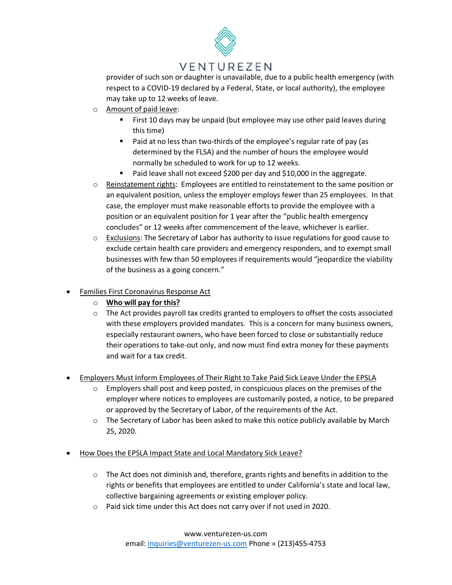

# VENTUREZEN

provider of such son or daughter is unavailable, due to a public health emergency (with respect to a COVID-19 declared by a Federal, State, or local authority), the employee may take up to 12 weeks of leave.

- o Amount of paid leave:
	- First 10 days may be unpaid (but employee may use other paid leaves during this time)
	- **Paid at no less than two-thirds of the employee's regular rate of pay (as** determined by the FLSA) and the number of hours the employee would normally be scheduled to work for up to 12 weeks.
	- Paid leave shall not exceed \$200 per day and \$10,000 in the aggregate.
- $\circ$  Reinstatement rights: Employees are entitled to reinstatement to the same position or an equivalent position, unless the employer employs fewer than 25 employees. In that case, the employer must make reasonable efforts to provide the employee with a position or an equivalent position for 1 year after the "public health emergency concludes" or 12 weeks after commencement of the leave, whichever is earlier.
- $\circ$  Exclusions: The Secretary of Labor has authority to issue regulations for good cause to exclude certain health care providers and emergency responders, and to exempt small businesses with few than 50 employees if requirements would "jeopardize the viability of the business as a going concern."
- Families First Coronavirus Response Act
	- o **Who will pay for this?**
	- $\circ$  The Act provides payroll tax credits granted to employers to offset the costs associated with these employers provided mandates. This is a concern for many business owners, especially restaurant owners, who have been forced to close or substantially reduce their operations to take-out only, and now must find extra money for these payments and wait for a tax credit.
- Employers Must Inform Employees of Their Right to Take Paid Sick Leave Under the EPSLA
	- $\circ$  Employers shall post and keep posted, in conspicuous places on the premises of the employer where notices to employees are customarily posted, a notice, to be prepared or approved by the Secretary of Labor, of the requirements of the Act.
	- $\circ$  The Secretary of Labor has been asked to make this notice publicly available by March 25, 2020.
- How Does the EPSLA Impact State and Local Mandatory Sick Leave?
	- o The Act does not diminish and, therefore, grants rights and benefits in addition to the rights or benefits that employees are entitled to under California's state and local law, collective bargaining agreements or existing employer policy.
	- o Paid sick time under this Act does not carry over if not used in 2020.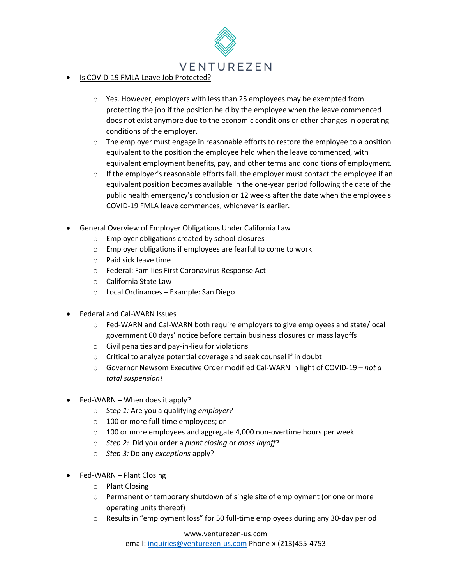

- Is COVID-19 FMLA Leave Job Protected?
	- o Yes. However, employers with less than 25 employees may be exempted from protecting the job if the position held by the employee when the leave commenced does not exist anymore due to the economic conditions or other changes in operating conditions of the employer.
	- $\circ$  The employer must engage in reasonable efforts to restore the employee to a position equivalent to the position the employee held when the leave commenced, with equivalent employment benefits, pay, and other terms and conditions of employment.
	- $\circ$  If the employer's reasonable efforts fail, the employer must contact the employee if an equivalent position becomes available in the one-year period following the date of the public health emergency's conclusion or 12 weeks after the date when the employee's COVID-19 FMLA leave commences, whichever is earlier.
- General Overview of Employer Obligations Under California Law
	- o Employer obligations created by school closures
	- o Employer obligations if employees are fearful to come to work
	- o Paid sick leave time
	- o Federal: Families First Coronavirus Response Act
	- o California State Law
	- o Local Ordinances Example: San Diego
- Federal and Cal-WARN Issues
	- o Fed-WARN and Cal-WARN both require employers to give employees and state/local government 60 days' notice before certain business closures or mass layoffs
	- o Civil penalties and pay-in-lieu for violations
	- o Critical to analyze potential coverage and seek counsel if in doubt
	- o Governor Newsom Executive Order modified Cal-WARN in light of COVID-19 *not a total suspension!*
- Fed-WARN When does it apply?
	- o Ste*p 1:* Are you a qualifying *employer?*
	- o 100 or more full-time employees; or
	- $\circ$  100 or more employees and aggregate 4,000 non-overtime hours per week
	- o *Step 2:* Did you order a *plant closing* or *mass layoff*?
	- o *Step 3:* Do any *exceptions* apply?
- Fed-WARN Plant Closing
	- o Plant Closing
	- $\circ$  Permanent or temporary shutdown of single site of employment (or one or more operating units thereof)
	- $\circ$  Results in "employment loss" for 50 full-time employees during any 30-day period

#### www.venturezen-us.com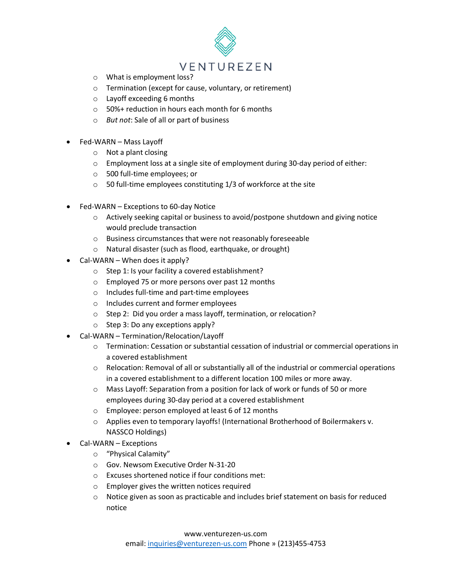

- o What is employment loss?
- o Termination (except for cause, voluntary, or retirement)
- o Layoff exceeding 6 months
- o 50%+ reduction in hours each month for 6 months
- o *But not*: Sale of all or part of business
- Fed-WARN Mass Layoff
	- o Not a plant closing
	- $\circ$  Employment loss at a single site of employment during 30-day period of either:
	- o 500 full-time employees; or
	- o 50 full-time employees constituting 1/3 of workforce at the site
- Fed-WARN Exceptions to 60-day Notice
	- $\circ$  Actively seeking capital or business to avoid/postpone shutdown and giving notice would preclude transaction
	- o Business circumstances that were not reasonably foreseeable
	- o Natural disaster (such as flood, earthquake, or drought)
- Cal-WARN When does it apply?
	- o Step 1: Is your facility a covered establishment?
	- o Employed 75 or more persons over past 12 months
	- o Includes full-time and part-time employees
	- o Includes current and former employees
	- o Step 2: Did you order a mass layoff, termination, or relocation?
	- o Step 3: Do any exceptions apply?
- Cal-WARN Termination/Relocation/Layoff
	- o Termination: Cessation or substantial cessation of industrial or commercial operations in a covered establishment
	- $\circ$  Relocation: Removal of all or substantially all of the industrial or commercial operations in a covered establishment to a different location 100 miles or more away.
	- o Mass Layoff: Separation from a position for lack of work or funds of 50 or more employees during 30-day period at a covered establishment
	- o Employee: person employed at least 6 of 12 months
	- o Applies even to temporary layoffs! (International Brotherhood of Boilermakers v. NASSCO Holdings)
- Cal-WARN Exceptions
	- o "Physical Calamity"
	- o Gov. Newsom Executive Order N-31-20
	- o Excuses shortened notice if four conditions met:
	- o Employer gives the written notices required
	- $\circ$  Notice given as soon as practicable and includes brief statement on basis for reduced notice